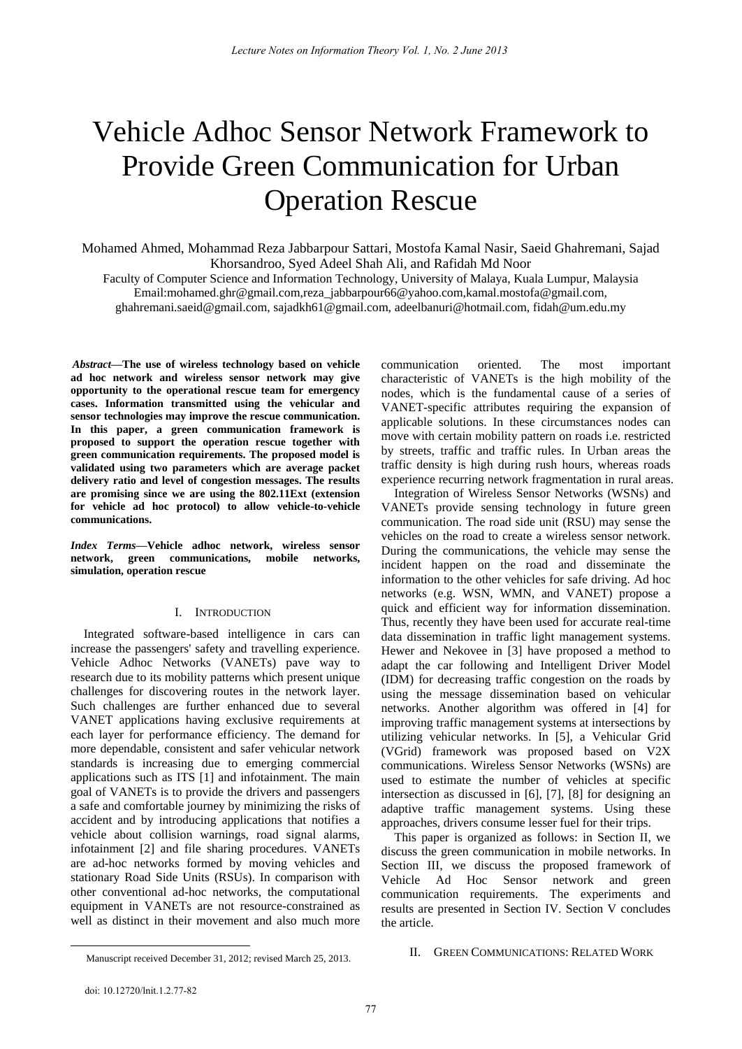# Vehicle Adhoc Sensor Network Framework to Provide Green Communication for Urban Operation Rescue

Mohamed Ahmed, Mohammad Reza Jabbarpour Sattari, Mostofa Kamal Nasir, Saeid Ghahremani, Sajad Khorsandroo, Syed Adeel Shah Ali, and Rafidah Md Noor

Faculty of Computer Science and Information Technology, University of Malaya, Kuala Lumpur, Malaysia Email:mohamed.ghr@gmail.com,reza\_jabbarpour66@yahoo.com,kamal.mostofa@gmail.com, ghahremani.saeid@gmail.com, sajadkh61@gmail.com, adeelbanuri@hotmail.com, fidah@um.edu.my

*Abstract***—The use of wireless technology based on vehicle ad hoc network and wireless sensor network may give opportunity to the operational rescue team for emergency cases. Information transmitted using the vehicular and sensor technologies may improve the rescue communication. In this paper, a green communication framework is proposed to support the operation rescue together with green communication requirements. The proposed model is validated using two parameters which are average packet delivery ratio and level of congestion messages. The results are promising since we are using the 802.11Ext (extension for vehicle ad hoc protocol) to allow vehicle-to-vehicle communications.**

*Index Terms***—Vehicle adhoc network, wireless sensor network, green communications, mobile networks, simulation, operation rescue** 

## I. INTRODUCTION

Integrated software-based intelligence in cars can increase the passengers' safety and travelling experience. Vehicle Adhoc Networks (VANETs) pave way to research due to its mobility patterns which present unique challenges for discovering routes in the network layer. Such challenges are further enhanced due to several VANET applications having exclusive requirements at each layer for performance efficiency. The demand for more dependable, consistent and safer vehicular network standards is increasing due to emerging commercial applications such as ITS [1] and infotainment. The main goal of VANETs is to provide the drivers and passengers a safe and comfortable journey by minimizing the risks of accident and by introducing applications that notifies a vehicle about collision warnings, road signal alarms, infotainment [2] and file sharing procedures. VANETs are ad-hoc networks formed by moving vehicles and stationary Road Side Units (RSUs). In comparison with other conventional ad-hoc networks, the computational equipment in VANETs are not resource-constrained as well as distinct in their movement and also much more

communication oriented. The most important characteristic of VANETs is the high mobility of the nodes, which is the fundamental cause of a series of VANET-specific attributes requiring the expansion of applicable solutions. In these circumstances nodes can move with certain mobility pattern on roads i.e. restricted by streets, traffic and traffic rules. In Urban areas the traffic density is high during rush hours, whereas roads experience recurring network fragmentation in rural areas.

Integration of Wireless Sensor Networks (WSNs) and VANETs provide sensing technology in future green communication. The road side unit (RSU) may sense the vehicles on the road to create a wireless sensor network. During the communications, the vehicle may sense the incident happen on the road and disseminate the information to the other vehicles for safe driving. Ad hoc networks (e.g. WSN, WMN, and VANET) propose a quick and efficient way for information dissemination. Thus, recently they have been used for accurate real-time data dissemination in traffic light management systems. Hewer and Nekovee in [3] have proposed a method to adapt the car following and Intelligent Driver Model (IDM) for decreasing traffic congestion on the roads by using the message dissemination based on vehicular networks. Another algorithm was offered in [4] for improving traffic management systems at intersections by utilizing vehicular networks. In [5], a Vehicular Grid (VGrid) framework was proposed based on V2X communications. Wireless Sensor Networks (WSNs) are used to estimate the number of vehicles at specific intersection as discussed in [6], [7], [8] for designing an adaptive traffic management systems. Using these approaches, drivers consume lesser fuel for their trips.

This paper is organized as follows: in Section II, we discuss the green communication in mobile networks. In Section III, we discuss the proposed framework of Vehicle Ad Hoc Sensor network and green communication requirements. The experiments and results are presented in Section IV. Section V concludes the article.

## II. GREEN COMMUNICATIONS: RELATED WORK

 $\overline{\phantom{a}}$ 

Manuscript received December 31, 2012; revised March 25, 2013.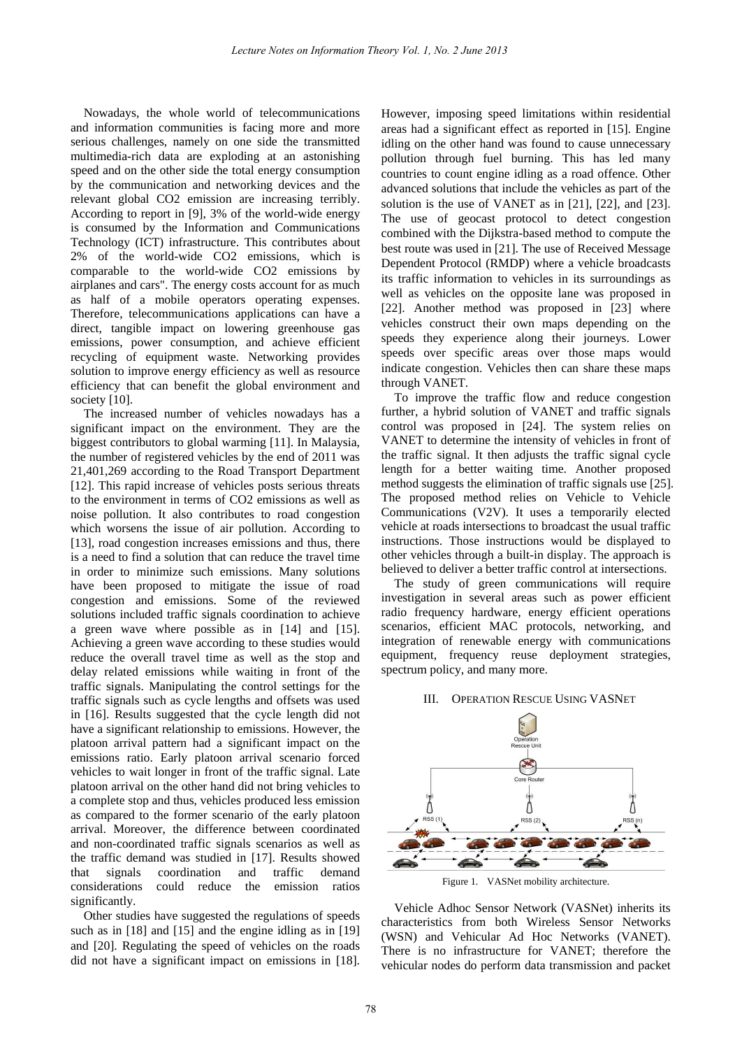Nowadays, the whole world of telecommunications and information communities is facing more and more serious challenges, namely on one side the transmitted multimedia-rich data are exploding at an astonishing speed and on the other side the total energy consumption by the communication and networking devices and the relevant global CO2 emission are increasing terribly. According to report in [9], 3% of the world-wide energy is consumed by the Information and Communications Technology (ICT) infrastructure. This contributes about 2% of the world-wide CO2 emissions, which is comparable to the world-wide CO2 emissions by airplanes and cars". The energy costs account for as much as half of a mobile operators operating expenses. Therefore, telecommunications applications can have a direct, tangible impact on lowering greenhouse gas emissions, power consumption, and achieve efficient recycling of equipment waste. Networking provides solution to improve energy efficiency as well as resource efficiency that can benefit the global environment and society [10].

The increased number of vehicles nowadays has a significant impact on the environment. They are the biggest contributors to global warming [11]. In Malaysia, the number of registered vehicles by the end of 2011 was 21,401,269 according to the Road Transport Department [12]. This rapid increase of vehicles posts serious threats to the environment in terms of CO2 emissions as well as noise pollution. It also contributes to road congestion which worsens the issue of air pollution. According to [13], road congestion increases emissions and thus, there is a need to find a solution that can reduce the travel time in order to minimize such emissions. Many solutions have been proposed to mitigate the issue of road congestion and emissions. Some of the reviewed solutions included traffic signals coordination to achieve a green wave where possible as in [14] and [15]. Achieving a green wave according to these studies would reduce the overall travel time as well as the stop and delay related emissions while waiting in front of the traffic signals. Manipulating the control settings for the traffic signals such as cycle lengths and offsets was used in [16]. Results suggested that the cycle length did not have a significant relationship to emissions. However, the platoon arrival pattern had a significant impact on the emissions ratio. Early platoon arrival scenario forced vehicles to wait longer in front of the traffic signal. Late platoon arrival on the other hand did not bring vehicles to a complete stop and thus, vehicles produced less emission as compared to the former scenario of the early platoon arrival. Moreover, the difference between coordinated and non-coordinated traffic signals scenarios as well as the traffic demand was studied in [17]. Results showed that signals coordination and traffic demand considerations could reduce the emission ratios significantly.

Other studies have suggested the regulations of speeds such as in [18] and [15] and the engine idling as in [19] and [20]. Regulating the speed of vehicles on the roads did not have a significant impact on emissions in [18].

However, imposing speed limitations within residential areas had a significant effect as reported in [15]. Engine idling on the other hand was found to cause unnecessary pollution through fuel burning. This has led many countries to count engine idling as a road offence. Other advanced solutions that include the vehicles as part of the solution is the use of VANET as in [21], [22], and [23]. The use of geocast protocol to detect congestion combined with the Dijkstra-based method to compute the best route was used in [21]. The use of Received Message Dependent Protocol (RMDP) where a vehicle broadcasts its traffic information to vehicles in its surroundings as well as vehicles on the opposite lane was proposed in [22]. Another method was proposed in [23] where vehicles construct their own maps depending on the speeds they experience along their journeys. Lower speeds over specific areas over those maps would indicate congestion. Vehicles then can share these maps through VANET.

To improve the traffic flow and reduce congestion further, a hybrid solution of VANET and traffic signals control was proposed in [24]. The system relies on VANET to determine the intensity of vehicles in front of the traffic signal. It then adjusts the traffic signal cycle length for a better waiting time. Another proposed method suggests the elimination of traffic signals use [25]. The proposed method relies on Vehicle to Vehicle Communications (V2V). It uses a temporarily elected vehicle at roads intersections to broadcast the usual traffic instructions. Those instructions would be displayed to other vehicles through a built-in display. The approach is believed to deliver a better traffic control at intersections.

The study of green communications will require investigation in several areas such as power efficient radio frequency hardware, energy efficient operations scenarios, efficient MAC protocols, networking, and integration of renewable energy with communications equipment, frequency reuse deployment strategies, spectrum policy, and many more.

## III. OPERATION RESCUE USING VASNET



Vehicle Adhoc Sensor Network (VASNet) inherits its characteristics from both Wireless Sensor Networks (WSN) and Vehicular Ad Hoc Networks (VANET). There is no infrastructure for VANET; therefore the vehicular nodes do perform data transmission and packet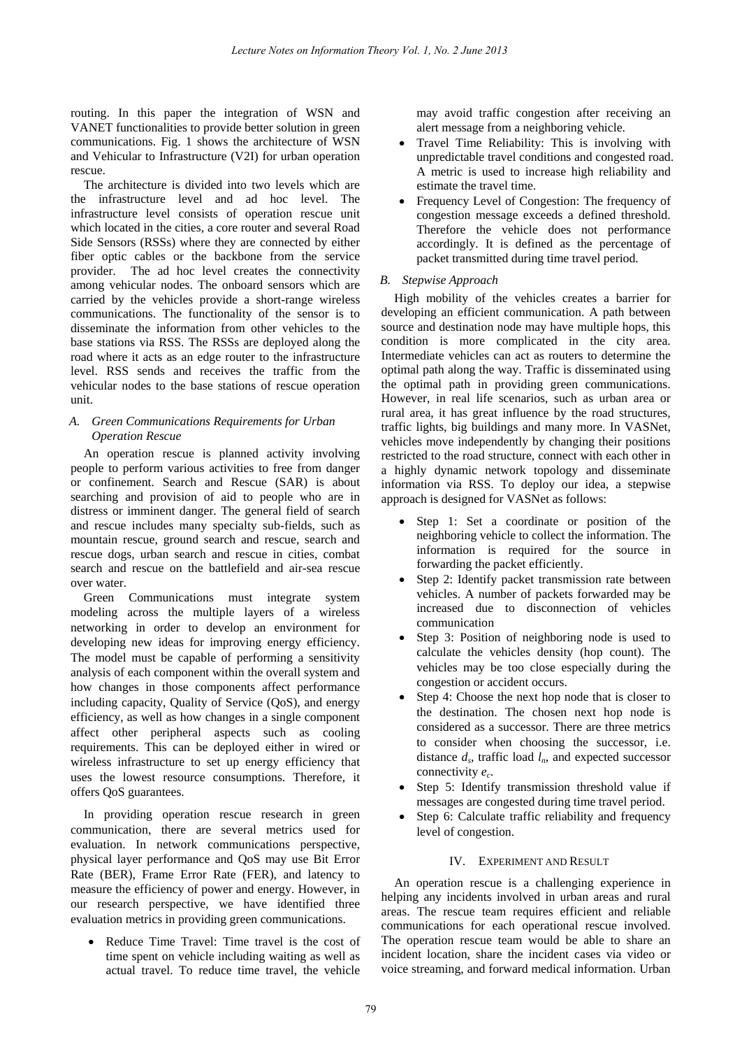routing. In this paper the integration of WSN and VANET functionalities to provide better solution in green communications. Fig. 1 shows the architecture of WSN and Vehicular to Infrastructure (V2I) for urban operation rescue.

The architecture is divided into two levels which are the infrastructure level and ad hoc level. The infrastructure level consists of operation rescue unit which located in the cities, a core router and several Road Side Sensors (RSSs) where they are connected by either fiber optic cables or the backbone from the service provider. The ad hoc level creates the connectivity among vehicular nodes. The onboard sensors which are carried by the vehicles provide a short-range wireless communications. The functionality of the sensor is to disseminate the information from other vehicles to the base stations via RSS. The RSSs are deployed along the road where it acts as an edge router to the infrastructure level. RSS sends and receives the traffic from the vehicular nodes to the base stations of rescue operation unit.

## *A. Green Communications Requirements for Urban Operation Rescue*

An operation rescue is planned activity involving people to perform various activities to free from danger or confinement. Search and Rescue (SAR) is about searching and provision of aid to people who are in distress or imminent danger. The general field of search and rescue includes many specialty sub-fields, such as mountain rescue, ground search and rescue, search and rescue dogs, urban search and rescue in cities, combat search and rescue on the battlefield and air-sea rescue over water.

Green Communications must integrate system modeling across the multiple layers of a wireless networking in order to develop an environment for developing new ideas for improving energy efficiency. The model must be capable of performing a sensitivity analysis of each component within the overall system and how changes in those components affect performance including capacity, Quality of Service (QoS), and energy efficiency, as well as how changes in a single component affect other peripheral aspects such as cooling requirements. This can be deployed either in wired or wireless infrastructure to set up energy efficiency that uses the lowest resource consumptions. Therefore, it offers QoS guarantees.

In providing operation rescue research in green communication, there are several metrics used for evaluation. In network communications perspective, physical layer performance and QoS may use Bit Error Rate (BER), Frame Error Rate (FER), and latency to measure the efficiency of power and energy. However, in our research perspective, we have identified three evaluation metrics in providing green communications.

 Reduce Time Travel: Time travel is the cost of time spent on vehicle including waiting as well as actual travel. To reduce time travel, the vehicle

may avoid traffic congestion after receiving an alert message from a neighboring vehicle.

- Travel Time Reliability: This is involving with unpredictable travel conditions and congested road. A metric is used to increase high reliability and estimate the travel time.
- Frequency Level of Congestion: The frequency of congestion message exceeds a defined threshold. Therefore the vehicle does not performance accordingly. It is defined as the percentage of packet transmitted during time travel period.

# *B. Stepwise Approach*

High mobility of the vehicles creates a barrier for developing an efficient communication. A path between source and destination node may have multiple hops, this condition is more complicated in the city area. Intermediate vehicles can act as routers to determine the optimal path along the way. Traffic is disseminated using the optimal path in providing green communications. However, in real life scenarios, such as urban area or rural area, it has great influence by the road structures, traffic lights, big buildings and many more. In VASNet, vehicles move independently by changing their positions restricted to the road structure, connect with each other in a highly dynamic network topology and disseminate information via RSS. To deploy our idea, a stepwise approach is designed for VASNet as follows:

- Step 1: Set a coordinate or position of the neighboring vehicle to collect the information. The information is required for the source in forwarding the packet efficiently.
- Step 2: Identify packet transmission rate between vehicles. A number of packets forwarded may be increased due to disconnection of vehicles communication
- Step 3: Position of neighboring node is used to calculate the vehicles density (hop count). The vehicles may be too close especially during the congestion or accident occurs.
- Step 4: Choose the next hop node that is closer to the destination. The chosen next hop node is considered as a successor. There are three metrics to consider when choosing the successor, i.e. distance  $d_s$ , traffic load  $l_n$ , and expected successor connectivity *e<sup>c</sup>* .
- Step 5: Identify transmission threshold value if messages are congested during time travel period.
- Step 6: Calculate traffic reliability and frequency level of congestion.

## IV. EXPERIMENT AND RESULT

An operation rescue is a challenging experience in helping any incidents involved in urban areas and rural areas. The rescue team requires efficient and reliable communications for each operational rescue involved. The operation rescue team would be able to share an incident location, share the incident cases via video or voice streaming, and forward medical information. Urban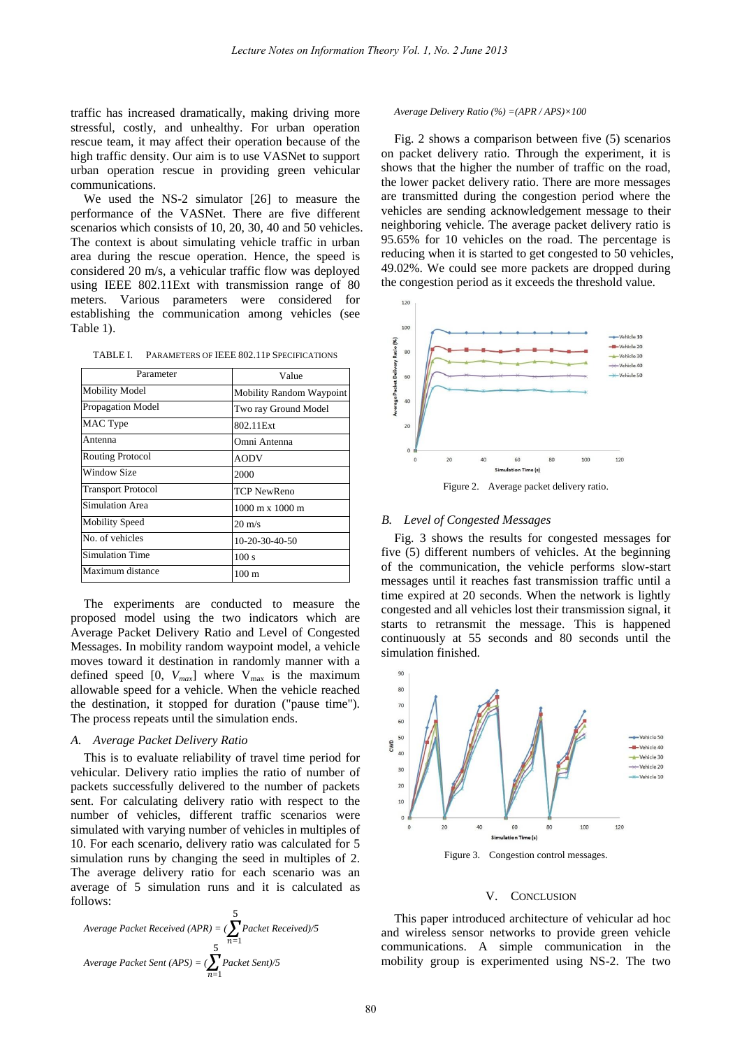traffic has increased dramatically, making driving more stressful, costly, and unhealthy. For urban operation rescue team, it may affect their operation because of the high traffic density. Our aim is to use VASNet to support urban operation rescue in providing green vehicular communications.

We used the NS-2 simulator [26] to measure the performance of the VASNet. There are five different scenarios which consists of 10, 20, 30, 40 and 50 vehicles. The context is about simulating vehicle traffic in urban area during the rescue operation. Hence, the speed is considered 20 m/s, a vehicular traffic flow was deployed using IEEE 802.11Ext with transmission range of 80 meters. Various parameters were considered for establishing the communication among vehicles (see Table 1).

TABLE I. PARAMETERS OF IEEE 802.11P SPECIFICATIONS

| Parameter                 | Value                                  |
|---------------------------|----------------------------------------|
| <b>Mobility Model</b>     | <b>Mobility Random Waypoint</b>        |
| <b>Propagation Model</b>  | Two ray Ground Model                   |
| MAC Type                  | 802.11 Ext                             |
| Antenna                   | Omni Antenna                           |
| <b>Routing Protocol</b>   | <b>AODV</b>                            |
| Window Size               | 2000                                   |
| <b>Transport Protocol</b> | TCP NewReno                            |
| <b>Simulation Area</b>    | $1000 \text{ m} \times 1000 \text{ m}$ |
| <b>Mobility Speed</b>     | $20 \text{ m/s}$                       |
| No. of vehicles           | 10-20-30-40-50                         |
| <b>Simulation Time</b>    | 100 s                                  |
| Maximum distance          | $100 \text{ m}$                        |

The experiments are conducted to measure the proposed model using the two indicators which are Average Packet Delivery Ratio and Level of Congested Messages. In mobility random waypoint model, a vehicle moves toward it destination in randomly manner with a defined speed  $[0, V_{max}]$  where  $V_{max}$  is the maximum allowable speed for a vehicle. When the vehicle reached the destination, it stopped for duration ("pause time"). The process repeats until the simulation ends.

## *A. Average Packet Delivery Ratio*

This is to evaluate reliability of travel time period for vehicular. Delivery ratio implies the ratio of number of packets successfully delivered to the number of packets sent. For calculating delivery ratio with respect to the number of vehicles, different traffic scenarios were simulated with varying number of vehicles in multiples of 10. For each scenario, delivery ratio was calculated for 5 simulation runs by changing the seed in multiples of 2. The average delivery ratio for each scenario was an average of 5 simulation runs and it is calculated as follows:

Average Packet Received (APR) = 
$$
(\sum_{n=1}^{5} Packet \text{ Received})/5
$$
  
Average Packet Sent (APS) = 
$$
(\sum_{n=1}^{5} Packet \text{ Sent})/5
$$

#### *Average Delivery Ratio (%) =(APR / APS)×100*

Fig. 2 shows a comparison between five (5) scenarios on packet delivery ratio. Through the experiment, it is shows that the higher the number of traffic on the road, the lower packet delivery ratio. There are more messages are transmitted during the congestion period where the vehicles are sending acknowledgement message to their neighboring vehicle. The average packet delivery ratio is 95.65% for 10 vehicles on the road. The percentage is reducing when it is started to get congested to 50 vehicles, 49.02%. We could see more packets are dropped during the congestion period as it exceeds the threshold value.



## *B. Level of Congested Messages*

Fig. 3 shows the results for congested messages for five (5) different numbers of vehicles. At the beginning of the communication, the vehicle performs slow-start messages until it reaches fast transmission traffic until a time expired at 20 seconds. When the network is lightly congested and all vehicles lost their transmission signal, it starts to retransmit the message. This is happened continuously at 55 seconds and 80 seconds until the simulation finished.



### V. CONCLUSION

This paper introduced architecture of vehicular ad hoc and wireless sensor networks to provide green vehicle communications. A simple communication in the mobility group is experimented using NS-2. The two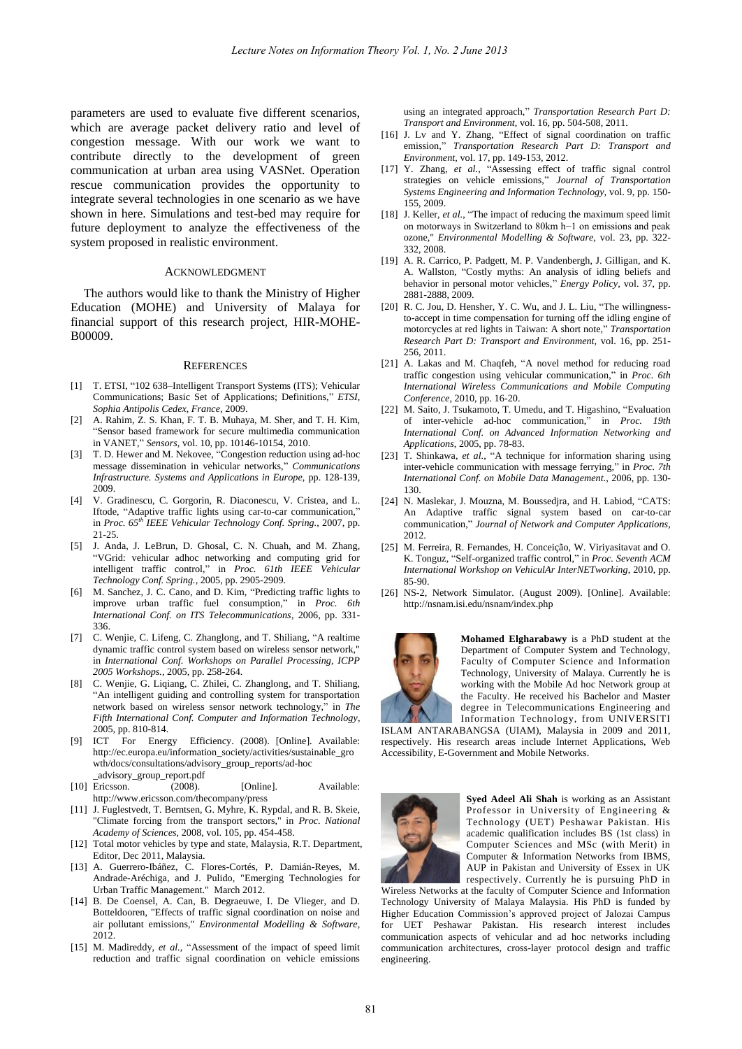parameters are used to evaluate five different scenarios, which are average packet delivery ratio and level of congestion message. With our work we want to contribute directly to the development of green communication at urban area using VASNet. Operation rescue communication provides the opportunity to integrate several technologies in one scenario as we have shown in here. Simulations and test-bed may require for future deployment to analyze the effectiveness of the system proposed in realistic environment.

### ACKNOWLEDGMENT

The authors would like to thank the Ministry of Higher Education (MOHE) and University of Malaya for financial support of this research project, HIR-MOHE-B00009.

#### **REFERENCES**

- [1] T. ETSI, "102 638–Intelligent Transport Systems (ITS); Vehicular Communications; Basic Set of Applications; Definitions," *ETSI, Sophia Antipolis Cedex, France,* 2009.
- [2] A. Rahim, Z. S. Khan, F. T. B. Muhaya, M. Sher, and T. H. Kim, "Sensor based framework for secure multimedia communication in VANET," *Sensors,* vol. 10, pp. 10146-10154, 2010.
- [3] T. D. Hewer and M. Nekovee, "Congestion reduction using ad-hoc message dissemination in vehicular networks," *Communications Infrastructure. Systems and Applications in Europe,* pp. 128-139, 2009.
- [4] V. Gradinescu, C. Gorgorin, R. Diaconescu, V. Cristea, and L. Iftode, "Adaptive traffic lights using car-to-car communication," in *Proc. 65th IEEE Vehicular Technology Conf. Spring.*, 2007, pp. 21-25.
- [5] J. Anda, J. LeBrun, D. Ghosal, C. N. Chuah, and M. Zhang, "VGrid: vehicular adhoc networking and computing grid for intelligent traffic control," in *Proc. 61th IEEE Vehicular Technology Conf. Spring.*, 2005, pp. 2905-2909.
- [6] M. Sanchez, J. C. Cano, and D. Kim, "Predicting traffic lights to improve urban traffic fuel consumption," in *Proc. 6th International Conf. on ITS Telecommunications*, 2006, pp. 331- 336.
- [7] C. Wenjie, C. Lifeng, C. Zhanglong, and T. Shiliang, "A realtime dynamic traffic control system based on wireless sensor network," in *International Conf. Workshops on Parallel Processing, ICPP 2005 Workshops.*, 2005, pp. 258-264.
- [8] C. Wenjie, G. Liqiang, C. Zhilei, C. Zhanglong, and T. Shiliang, "An intelligent guiding and controlling system for transportation network based on wireless sensor network technology," in *The Fifth International Conf. Computer and Information Technology*, 2005, pp. 810-814.
- [9] ICT For Energy Efficiency. (2008). [Online]. Available: http://ec.europa.eu/information\_society/activities/sustainable\_gro wth/docs/consultations/advisory\_group\_reports/ad-hoc \_advisory\_group\_report.pdf
- [10] Ericsson. (2008). [Online]. Available: http://www.ericsson.com/thecompany/press
- [11] J. Fuglestvedt, T. Berntsen, G. Myhre, K. Rypdal, and R. B. Skeie, "Climate forcing from the transport sectors," in *Proc. National Academy of Sciences,* 2008, vol. 105, pp. 454-458.
- [12] Total motor vehicles by type and state, Malaysia, R.T. Department, Editor, Dec 2011, Malaysia.
- [13] A. Guerrero-Ibáñez, C. Flores-Cortés, P. Damián-Reyes, M. Andrade-Aréchiga, and J. Pulido, "Emerging Technologies for Urban Traffic Management." March 2012.
- [14] B. De Coensel, A. Can, B. Degraeuwe, I. De Vlieger, and D. Botteldooren, "Effects of traffic signal coordination on noise and air pollutant emissions," *Environmental Modelling & Software,*  2012.
- [15] M. Madireddy, et al., "Assessment of the impact of speed limit reduction and traffic signal coordination on vehicle emissions

using an integrated approach," *Transportation Research Part D: Transport and Environment,* vol. 16, pp. 504-508, 2011.

- [16] J. Lv and Y. Zhang, "Effect of signal coordination on traffic emission," *Transportation Research Part D: Transport and Environment,* vol. 17, pp. 149-153, 2012.
- [17] Y. Zhang*, et al.*, "Assessing effect of traffic signal control strategies on vehicle emissions," *Journal of Transportation Systems Engineering and Information Technology,* vol. 9, pp. 150- 155, 2009.
- [18] J. Keller, et al., "The impact of reducing the maximum speed limit on motorways in Switzerland to 80km h−1 on emissions and peak ozone," *Environmental Modelling & Software,* vol. 23, pp. 322- 332, 2008.
- [19] A. R. Carrico, P. Padgett, M. P. Vandenbergh, J. Gilligan, and K. A. Wallston, "Costly myths: An analysis of idling beliefs and behavior in personal motor vehicles," *Energy Policy,* vol. 37, pp. 2881-2888, 2009.
- [20] R. C. Jou, D. Hensher, Y. C. Wu, and J. L. Liu, "The willingnessto-accept in time compensation for turning off the idling engine of motorcycles at red lights in Taiwan: A short note," *Transportation Research Part D: Transport and Environment,* vol. 16, pp. 251- 256, 2011.
- [21] A. Lakas and M. Chaqfeh, "A novel method for reducing road traffic congestion using vehicular communication," in *Proc. 6th International Wireless Communications and Mobile Computing Conference*, 2010, pp. 16-20.
- [22] M. Saito, J. Tsukamoto, T. Umedu, and T. Higashino, "Evaluation of inter-vehicle ad-hoc communication," in *Proc. 19th International Conf. on Advanced Information Networking and Applications*, 2005, pp. 78-83.
- [23] T. Shinkawa*, et al.*, "A technique for information sharing using inter-vehicle communication with message ferrying," in *Proc. 7th International Conf. on Mobile Data Management.*, 2006, pp. 130- 130.
- [24] N. Maslekar, J. Mouzna, M. Boussedjra, and H. Labiod, "CATS: An Adaptive traffic signal system based on car-to-car communication," *Journal of Network and Computer Applications,*  2012.
- [25] M. Ferreira, R. Fernandes, H. Conceição, W. Viriyasitavat and O. K. Tonguz, "Self-organized traffic control," in *Proc. Seventh ACM International Workshop on VehiculAr InterNETworking*, 2010, pp. 85-90.
- [26] NS-2, Network Simulator. (August 2009). [Online]. Available: http://nsnam.isi.edu/nsnam/index.php



**Mohamed Elgharabawy** is a PhD student at the Department of Computer System and Technology, Faculty of Computer Science and Information Technology, University of Malaya. Currently he is working with the Mobile Ad hoc Network group at the Faculty. He received his Bachelor and Master degree in Telecommunications Engineering and Information Technology, from UNIVERSITI

ISLAM ANTARABANGSA (UIAM), Malaysia in 2009 and 2011, respectively. His research areas include Internet Applications, Web Accessibility, E-Government and Mobile Networks.



**Syed Adeel Ali Shah** is working as an Assistant Professor in University of Engineering & Technology (UET) Peshawar Pakistan. His academic qualification includes BS (1st class) in Computer Sciences and MSc (with Merit) in Computer & Information Networks from IBMS, AUP in Pakistan and University of Essex in UK respectively. Currently he is pursuing PhD in

Wireless Networks at the faculty of Computer Science and Information Technology University of Malaya Malaysia. His PhD is funded by Higher Education Commission's approved project of Jalozai Campus for UET Peshawar Pakistan. His research interest includes communication aspects of vehicular and ad hoc networks including communication architectures, cross-layer protocol design and traffic engineering.